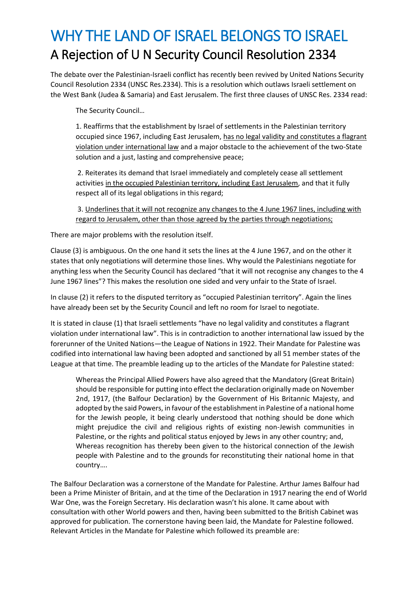# WHY THE LAND OF ISRAEL BELONGS TO ISRAEL A Rejection of U N Security Council Resolution 2334

The debate over the Palestinian-Israeli conflict has recently been revived by United Nations Security Council Resolution 2334 (UNSC Res.2334). This is a resolution which outlaws Israeli settlement on the West Bank (Judea & Samaria) and East Jerusalem. The first three clauses of UNSC Res. 2334 read:

The Security Council…

1. Reaffirms that the establishment by Israel of settlements in the Palestinian territory occupied since 1967, including East Jerusalem, has no legal validity and constitutes a flagrant violation under international law and a major obstacle to the achievement of the two-State solution and a just, lasting and comprehensive peace;

2. Reiterates its demand that Israel immediately and completely cease all settlement activities in the occupied Palestinian territory, including East Jerusalem, and that it fully respect all of its legal obligations in this regard;

3. Underlines that it will not recognize any changes to the 4 June 1967 lines, including with regard to Jerusalem, other than those agreed by the parties through negotiations;

There are major problems with the resolution itself.

Clause (3) is ambiguous. On the one hand it sets the lines at the 4 June 1967, and on the other it states that only negotiations will determine those lines. Why would the Palestinians negotiate for anything less when the Security Council has declared "that it will not recognise any changes to the 4 June 1967 lines"? This makes the resolution one sided and very unfair to the State of Israel.

In clause (2) it refers to the disputed territory as "occupied Palestinian territory". Again the lines have already been set by the Security Council and left no room for Israel to negotiate.

It is stated in clause (1) that Israeli settlements "have no legal validity and constitutes a flagrant violation under international law". This is in contradiction to another international law issued by the forerunner of the United Nations—the League of Nations in 1922. Their Mandate for Palestine was codified into international law having been adopted and sanctioned by all 51 member states of the League at that time. The preamble leading up to the articles of the Mandate for Palestine stated:

Whereas the Principal Allied Powers have also agreed that the Mandatory (Great Britain) should be responsible for putting into effect the [declaration originally made on November](http://avalon.law.yale.edu/20th_century/balfour.asp)  [2nd, 1917,](http://avalon.law.yale.edu/20th_century/balfour.asp) (the Balfour Declaration) by the Government of His Britannic Majesty, and adopted by the said Powers, in favour of the establishment in Palestine of a national home for the Jewish people, it being clearly understood that nothing should be done which might prejudice the civil and religious rights of existing non-Jewish communities in Palestine, or the rights and political status enjoyed by Jews in any other country; and, Whereas recognition has thereby been given to the historical connection of the Jewish people with Palestine and to the grounds for reconstituting their national home in that country….

The Balfour Declaration was a cornerstone of the Mandate for Palestine. Arthur James Balfour had been a Prime Minister of Britain, and at the time of the Declaration in 1917 nearing the end of World War One, was the Foreign Secretary. His declaration wasn't his alone. It came about with consultation with other World powers and then, having been submitted to the British Cabinet was approved for publication. The cornerstone having been laid, the Mandate for Palestine followed. Relevant Articles in the Mandate for Palestine which followed its preamble are: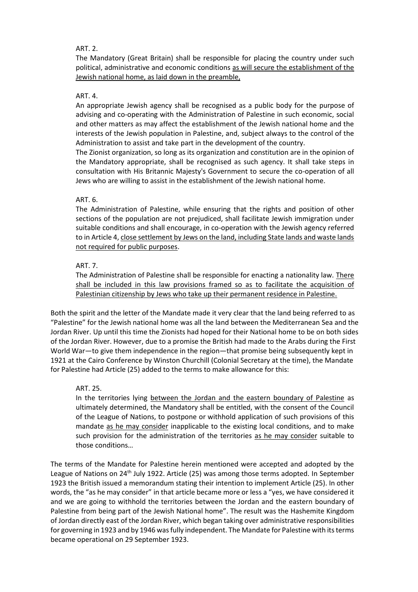### ART. 2.

The Mandatory (Great Britain) shall be responsible for placing the country under such political, administrative and economic conditions as will secure the establishment of the Jewish national home, as laid down in the preamble,

### ART. 4.

An appropriate Jewish agency shall be recognised as a public body for the purpose of advising and co-operating with the Administration of Palestine in such economic, social and other matters as may affect the establishment of the Jewish national home and the interests of the Jewish population in Palestine, and, subject always to the control of the Administration to assist and take part in the development of the country.

The Zionist organization, so long as its organization and constitution are in the opinion of the Mandatory appropriate, shall be recognised as such agency. It shall take steps in consultation with His Britannic Majesty's Government to secure the co-operation of all Jews who are willing to assist in the establishment of the Jewish national home.

# ART. 6.

The Administration of Palestine, while ensuring that the rights and position of other sections of the population are not prejudiced, shall facilitate Jewish immigration under suitable conditions and shall encourage, in co-operation with the Jewish agency referred to in Article 4, close settlement by Jews on the land, including State lands and waste lands not required for public purposes.

# ART. 7.

The Administration of Palestine shall be responsible for enacting a nationality law. There shall be included in this law provisions framed so as to facilitate the acquisition of Palestinian citizenship by Jews who take up their permanent residence in Palestine.

Both the spirit and the letter of the Mandate made it very clear that the land being referred to as "Palestine" for the Jewish national home was all the land between the Mediterranean Sea and the Jordan River. Up until this time the Zionists had hoped for their National home to be on both sides of the Jordan River. However, due to a promise the British had made to the Arabs during the First World War—to give them independence in the region—that promise being subsequently kept in 1921 at the Cairo Conference by Winston Churchill (Colonial Secretary at the time), the Mandate for Palestine had Article (25) added to the terms to make allowance for this:

#### ART. 25.

In the territories lying between the Jordan and the eastern boundary of Palestine as ultimately determined, the Mandatory shall be entitled, with the consent of the Council of the League of Nations, to postpone or withhold application of such provisions of this mandate as he may consider inapplicable to the existing local conditions, and to make such provision for the administration of the territories as he may consider suitable to those conditions…

The terms of the Mandate for Palestine herein mentioned were accepted and adopted by the League of Nations on 24th July 1922. Article (25) was among those terms adopted. In September 1923 the British issued a memorandum stating their intention to implement Article (25). In other words, the "as he may consider" in that article became more or less a "yes, we have considered it and we are going to withhold the territories between the Jordan and the eastern boundary of Palestine from being part of the Jewish National home". The result was the Hashemite Kingdom of Jordan directly east of the Jordan River, which began taking over administrative responsibilities for governing in 1923 and by 1946 was fully independent. The Mandate for Palestine with its terms became operational on 29 September 1923.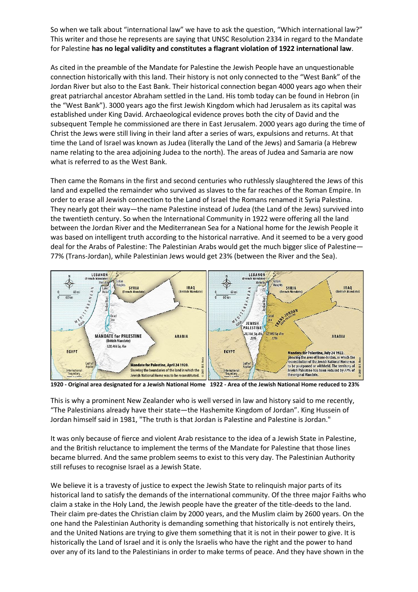So when we talk about "international law" we have to ask the question, "Which international law?" This writer and those he represents are saying that UNSC Resolution 2334 in regard to the Mandate for Palestine **has no legal validity and constitutes a flagrant violation of 1922 international law**.

As cited in the preamble of the Mandate for Palestine the Jewish People have an unquestionable connection historically with this land. Their history is not only connected to the "West Bank" of the Jordan River but also to the East Bank. Their historical connection began 4000 years ago when their great patriarchal ancestor Abraham settled in the Land. His tomb today can be found in Hebron (in the "West Bank"). 3000 years ago the first Jewish Kingdom which had Jerusalem as its capital was established under King David. Archaeological evidence proves both the city of David and the subsequent Temple he commissioned are there in East Jerusalem. 2000 years ago during the time of Christ the Jews were still living in their land after a series of wars, expulsions and returns. At that time the Land of Israel was known as Judea (literally the Land of the Jews) and Samaria (a Hebrew name relating to the area adjoining Judea to the north). The areas of Judea and Samaria are now what is referred to as the West Bank.

Then came the Romans in the first and second centuries who ruthlessly slaughtered the Jews of this land and expelled the remainder who survived as slaves to the far reaches of the Roman Empire. In order to erase all Jewish connection to the Land of Israel the Romans renamed it Syria Palestina. They nearly got their way—the name Palestine instead of Judea (the Land of the Jews) survived into the twentieth century. So when the International Community in 1922 were offering all the land between the Jordan River and the Mediterranean Sea for a National home for the Jewish People it was based on intelligent truth according to the historical narrative. And it seemed to be a very good deal for the Arabs of Palestine: The Palestinian Arabs would get the much bigger slice of Palestine— 77% (Trans-Jordan), while Palestinian Jews would get 23% (between the River and the Sea).



**1920 - Original area designated for a Jewish National Home 1922 - Area of the Jewish National Home reduced to 23%**

This is why a prominent New Zealander who is well versed in law and history said to me recently, "The Palestinians already have their state—the Hashemite Kingdom of Jordan". King Hussein of Jordan himself said in 1981, "The truth is that Jordan is Palestine and Palestine is Jordan."

It was only because of fierce and violent Arab resistance to the idea of a Jewish State in Palestine, and the British reluctance to implement the terms of the Mandate for Palestine that those lines became blurred. And the same problem seems to exist to this very day. The Palestinian Authority still refuses to recognise Israel as a Jewish State.

We believe it is a travesty of justice to expect the Jewish State to relinquish major parts of its historical land to satisfy the demands of the international community. Of the three major Faiths who claim a stake in the Holy Land, the Jewish people have the greater of the title-deeds to the land. Their claim pre-dates the Christian claim by 2000 years, and the Muslim claim by 2600 years. On the one hand the Palestinian Authority is demanding something that historically is not entirely theirs, and the United Nations are trying to give them something that it is not in their power to give. It is historically the Land of Israel and it is only the Israelis who have the right and the power to hand over any of its land to the Palestinians in order to make terms of peace. And they have shown in the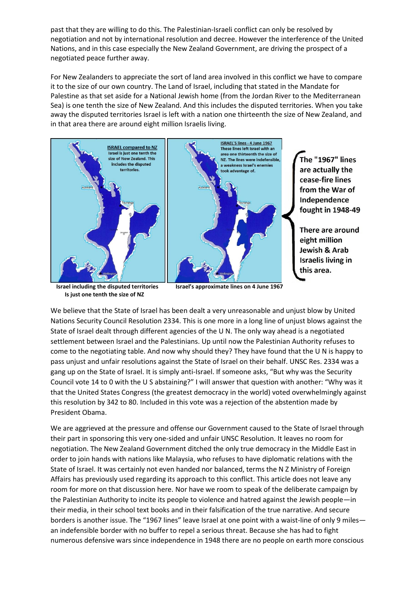past that they are willing to do this. The Palestinian-Israeli conflict can only be resolved by negotiation and not by international resolution and decree. However the interference of the United Nations, and in this case especially the New Zealand Government, are driving the prospect of a negotiated peace further away.

For New Zealanders to appreciate the sort of land area involved in this conflict we have to compare it to the size of our own country. The Land of Israel, including that stated in the Mandate for Palestine as that set aside for a National Jewish home (from the Jordan River to the Mediterranean Sea) is one tenth the size of New Zealand. And this includes the disputed territories. When you take away the disputed territories Israel is left with a nation one thirteenth the size of New Zealand, and in that area there are around eight million Israelis living.



The "1967" lines are actually the cease-fire lines from the War of Independence fought in 1948-49

There are around Jewish & Arab **Israelis living in** 

 **Is just one tenth the size of NZ**

 **Israel including the disputed territories Israel's approximate lines on 4 June 1967**

We believe that the State of Israel has been dealt a very unreasonable and unjust blow by United Nations Security Council Resolution 2334. This is one more in a long line of unjust blows against the State of Israel dealt through different agencies of the U N. The only way ahead is a negotiated settlement between Israel and the Palestinians. Up until now the Palestinian Authority refuses to come to the negotiating table. And now why should they? They have found that the U N is happy to pass unjust and unfair resolutions against the State of Israel on their behalf. UNSC Res. 2334 was a gang up on the State of Israel. It is simply anti-Israel. If someone asks, "But why was the Security Council vote 14 to 0 with the U S abstaining?" I will answer that question with another: "Why was it that the United States Congress (the greatest democracy in the world) voted overwhelmingly against this resolution by 342 to 80. Included in this vote was a rejection of the abstention made by President Obama.

We are aggrieved at the pressure and offense our Government caused to the State of Israel through their part in sponsoring this very one-sided and unfair UNSC Resolution. It leaves no room for negotiation. The New Zealand Government ditched the only true democracy in the Middle East in order to join hands with nations like Malaysia, who refuses to have diplomatic relations with the State of Israel. It was certainly not even handed nor balanced, terms the N Z Ministry of Foreign Affairs has previously used regarding its approach to this conflict. This article does not leave any room for more on that discussion here. Nor have we room to speak of the deliberate campaign by the Palestinian Authority to incite its people to violence and hatred against the Jewish people—in their media, in their school text books and in their falsification of the true narrative. And secure borders is another issue. The "1967 lines" leave Israel at one point with a waist-line of only 9 miles an indefensible border with no buffer to repel a serious threat. Because she has had to fight numerous defensive wars since independence in 1948 there are no people on earth more conscious